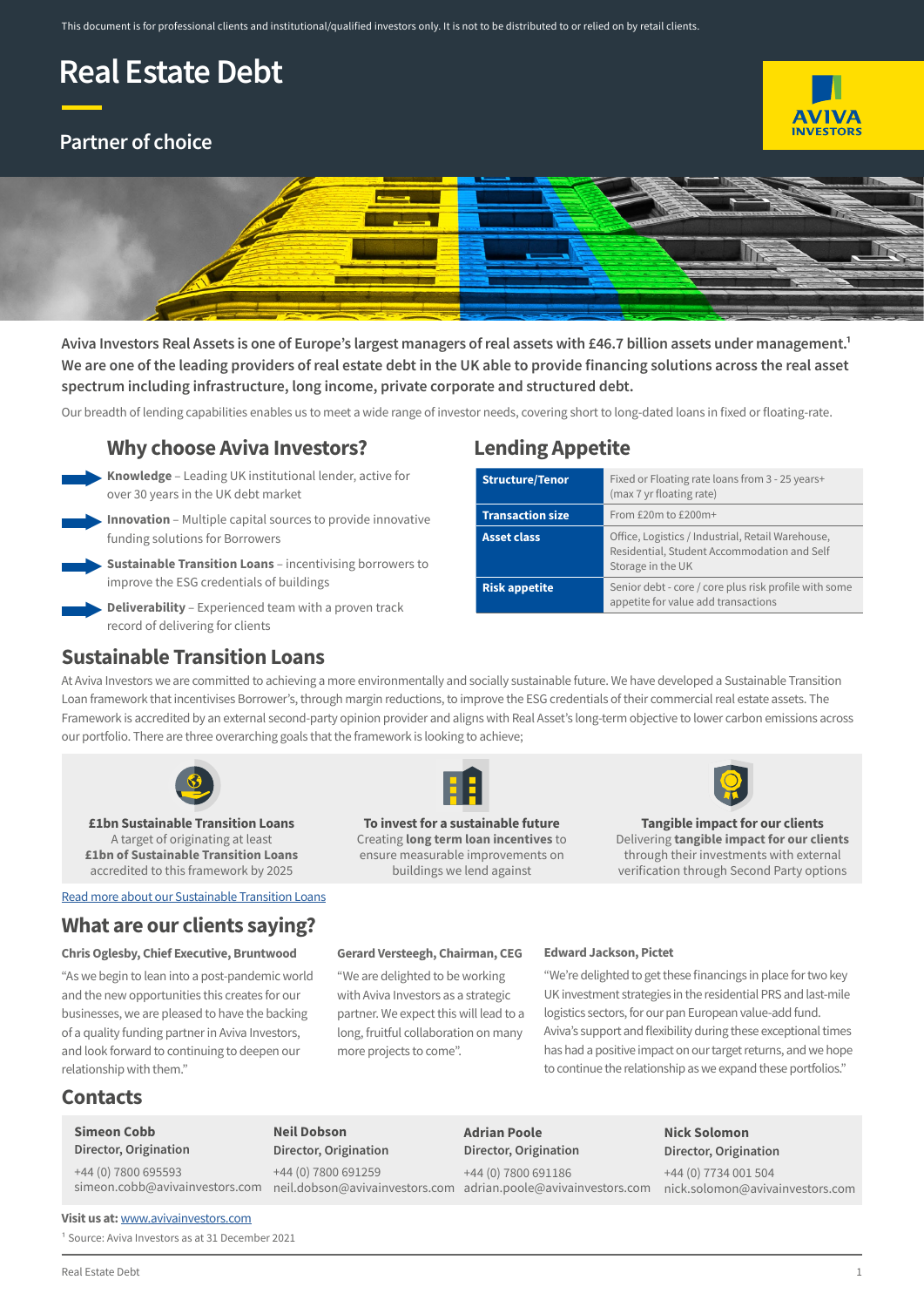# **Real Estate Debt**

# **Partner of choice**





Aviva Investors Real Assets is one of Europe's largest managers of real assets with £46.7 billion assets under management.<sup>1</sup> **We are one of the leading providers of real estate debt in the UK able to provide financing solutions across the real asset spectrum including infrastructure, long income, private corporate and structured debt.** 

Our breadth of lending capabilities enables us to meet a wide range of investor needs, covering short to long-dated loans in fixed or floating-rate.

### **Why choose Aviva Investors?**

**Knowledge** – Leading UK institutional lender, active for over 30 years in the UK debt market *►*

**Innovation** – Multiple capital sources to provide innovative *►* funding solutions for Borrowers



**Sustainable Transition Loans** – incentivising borrowers to improve the ESG credentials of buildings

**Deliverability** – Experienced team with a proven track record of delivering for clients

# **Lending Appetite**

| <b>Structure/Tenor</b>  | Fixed or Floating rate loans from 3 - 25 years+<br>(max 7 yr floating rate)                                           |
|-------------------------|-----------------------------------------------------------------------------------------------------------------------|
| <b>Transaction size</b> | From $£20m$ to $£200m+$                                                                                               |
| <b>Asset class</b>      | Office, Logistics / Industrial, Retail Warehouse,<br>Residential, Student Accommodation and Self<br>Storage in the UK |
| <b>Risk appetite</b>    | Senior debt - core / core plus risk profile with some<br>appetite for value add transactions                          |

### **Sustainable Transition Loans**

At Aviva Investors we are committed to achieving a more environmentally and socially sustainable future. We have developed a Sustainable Transition Loan framework that incentivises Borrower's, through margin reductions, to improve the ESG credentials of their commercial real estate assets. The Framework is accredited by an external second-party opinion provider and aligns with Real Asset's long-term objective to lower carbon emissions across our portfolio. There are three overarching goals that the framework is looking to achieve;



**£1bn Sustainable Transition Loans** A target of originating at least **£1bn of Sustainable Transition Loans** accredited to this framework by 2025

[Read more about our Sustainable Transition Loans](https://www.avivainvestors.com/en-gb/capabilities/real-estate-debt/sustainable-transition-loans/)

# **What are our clients saying?**

#### **Chris Oglesby, Chief Executive, Bruntwood**

"As we begin to lean into a post-pandemic world and the new opportunities this creates for our businesses, we are pleased to have the backing of a quality funding partner in Aviva Investors, and look forward to continuing to deepen our relationship with them."



**To invest for a sustainable future** Creating **long term loan incentives** to ensure measurable improvements on buildings we lend against



**Tangible impact for our clients** Delivering **tangible impact for our clients** through their investments with external verification through Second Party options

#### **Gerard Versteegh, Chairman, CEG**

"We are delighted to be working with Aviva Investors as a strategic partner. We expect this will lead to a long, fruitful collaboration on many more projects to come".

#### **Edward Jackson, Pictet**

"We're delighted to get these financings in place for two key UK investment strategies in the residential PRS and last-mile logistics sectors, for our pan European value-add fund. Aviva's support and flexibility during these exceptional times has had a positive impact on our target returns, and we hope to continue the relationship as we expand these portfolios."

## **Contacts**

### **Simeon Cobb**

**Director, Origination**

+44 (0) 7800 695593

**Neil Dobson Director, Origination** +44 (0) 7800 691259

**Adrian Poole Director, Origination**

# +44 (0) 7800 691186

simeon.cobb@avivainvestors.com neil.dobson@avivainvestors.com adrian.poole@avivainvestors.com

**Nick Solomon Director, Origination**

+44 (0) 7734 001 504 nick.solomon@avivainvestors.com

**Visit us at:** [www.avivainvestors.com](http://www.avivainvestors.com)

<sup>1</sup> Source: Aviva Investors as at 31 December 2021